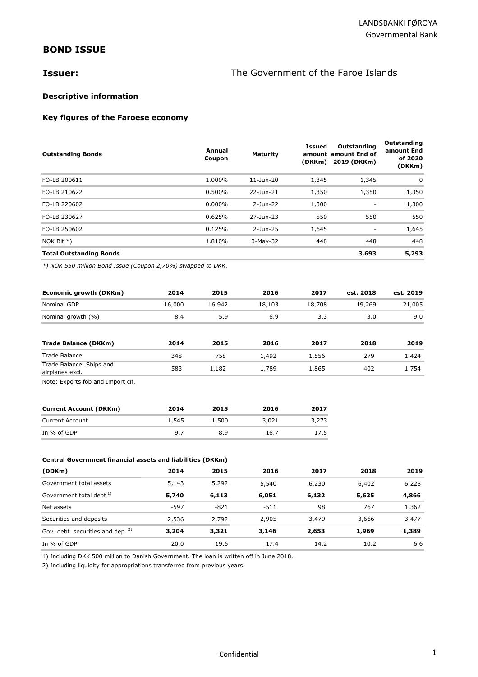# **BOND ISSUE**

# **Issuer: ISSUER: The Government of the Faroe Islands**

## **Descriptive information**

## **Key figures of the Faroese economy**

| <b>Outstanding Bonds</b>                                     |        | Annual<br>Coupon | <b>Maturity</b> | <b>Issued</b> | Outstanding<br>amount amount End of<br>(DKKm) 2019 (DKKm) | Outstanding<br>amount End<br>of 2020<br>(DKKm) |
|--------------------------------------------------------------|--------|------------------|-----------------|---------------|-----------------------------------------------------------|------------------------------------------------|
| FO-LB 200611                                                 |        | 1.000%           | 11-Jun-20       | 1,345         | 1,345                                                     | 0                                              |
| FO-LB 210622                                                 |        | 0.500%           | 22-Jun-21       | 1,350         | 1,350                                                     | 1,350                                          |
| FO-LB 220602                                                 |        | $0.000\%$        | $2-Jun-22$      | 1,300         | ٠                                                         | 1,300                                          |
| FO-LB 230627                                                 |        | 0.625%           | 27-Jun-23       | 550           | 550                                                       | 550                                            |
| FO-LB 250602                                                 |        | 0.125%           | 2-Jun-25        | 1,645         |                                                           | 1,645                                          |
| NOK BI $t *$ )                                               |        | 1.810%           | 3-May-32        | 448           | 448                                                       | 448                                            |
| <b>Total Outstanding Bonds</b>                               |        |                  |                 |               | 3,693                                                     | 5,293                                          |
| *) NOK 550 million Bond Issue (Coupon 2,70%) swapped to DKK. |        |                  |                 |               |                                                           |                                                |
| Economic growth (DKKm)                                       | 2014   | 2015             | 2016            | 2017          | est. 2018                                                 | est. 2019                                      |
| Nominal GDP                                                  | 16,000 | 16,942           | 18,103          | 18,708        | 19,269                                                    | 21,005                                         |
| Nominal growth (%)                                           | 8.4    | 5.9              | 6.9             | 3.3           | 3.0                                                       | 9.0                                            |
| <b>Trade Balance (DKKm)</b>                                  | 2014   | 2015             | 2016            | 2017          | 2018                                                      | 2019                                           |
| <b>Trade Balance</b>                                         | 348    | 758              | 1,492           | 1,556         | 279                                                       | 1,424                                          |
| Trade Balance, Ships and<br>airplanes excl.                  | 583    | 1,182            | 1,789           | 1,865         | 402                                                       | 1,754                                          |

Note: Exports fob and Import cif.

| <b>Current Account (DKKm)</b> | 2014  | 2015  | 2016  | 2017  |
|-------------------------------|-------|-------|-------|-------|
| <b>Current Account</b>        | 1,545 | 1,500 | 3,021 | 3,273 |
| In % of GDP                   | 97    | 8.9   | 16.7  | 17.5  |

#### **Central Government financial assets and liabilities (DKKm)**

| (DDKm)                                      | 2014   | 2015   | 2016  | 2017  | 2018  | 2019  |
|---------------------------------------------|--------|--------|-------|-------|-------|-------|
| Government total assets                     | 5,143  | 5,292  | 5,540 | 6,230 | 6,402 | 6,228 |
| Government total debt <sup>1)</sup>         | 5,740  | 6,113  | 6,051 | 6,132 | 5,635 | 4,866 |
| Net assets                                  | $-597$ | $-821$ | -511  | 98    | 767   | 1,362 |
| Securities and deposits                     | 2,536  | 2,792  | 2,905 | 3,479 | 3,666 | 3,477 |
| Gov. debt securities and dep. <sup>2)</sup> | 3,204  | 3,321  | 3,146 | 2,653 | 1,969 | 1,389 |
| In $%$ of GDP                               | 20.0   | 19.6   | 17.4  | 14.2  | 10.2  | 6.6   |

1) Including DKK 500 million to Danish Government. The loan is written off in June 2018.

2) Including liquidity for appropriations transferred from previous years.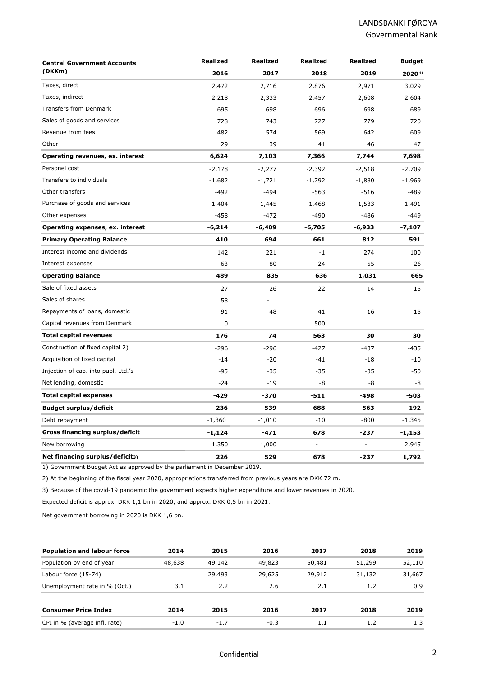| <b>Central Government Accounts</b>  | <b>Realized</b> | <b>Realized</b> | <b>Realized</b> | <b>Realized</b> | Budget   |
|-------------------------------------|-----------------|-----------------|-----------------|-----------------|----------|
| (DKKm)                              | 2016            | 2017            | 2018            | 2019            | 2020 6)  |
| Taxes, direct                       | 2,472           | 2,716           | 2,876           | 2,971           | 3,029    |
| Taxes, indirect                     | 2,218           | 2,333           | 2,457           | 2,608           | 2,604    |
| <b>Transfers from Denmark</b>       | 695             | 698             | 696             | 698             | 689      |
| Sales of goods and services         | 728             | 743             | 727             | 779             | 720      |
| Revenue from fees                   | 482             | 574             | 569             | 642             | 609      |
| Other                               | 29              | 39              | 41              | 46              | 47       |
| Operating revenues, ex. interest    | 6,624           | 7,103           | 7,366           | 7,744           | 7,698    |
| Personel cost                       | $-2,178$        | $-2,277$        | $-2,392$        | $-2,518$        | $-2,709$ |
| Transfers to individuals            | $-1,682$        | $-1,721$        | $-1,792$        | $-1,880$        | $-1,969$ |
| Other transfers                     | $-492$          | $-494$          | $-563$          | $-516$          | $-489$   |
| Purchase of goods and services      | $-1,404$        | $-1,445$        | $-1,468$        | $-1,533$        | $-1,491$ |
| Other expenses                      | $-458$          | $-472$          | $-490$          | $-486$          | $-449$   |
| Operating expenses, ex. interest    | $-6,214$        | -6,409          | $-6,705$        | -6,933          | -7,107   |
| <b>Primary Operating Balance</b>    | 410             | 694             | 661             | 812             | 591      |
| Interest income and dividends       | 142             | 221             | $-1$            | 274             | 100      |
| Interest expenses                   | $-63$           | $-80$           | $-24$           | $-55$           | $-26$    |
| <b>Operating Balance</b>            | 489             | 835             | 636             | 1,031           | 665      |
| Sale of fixed assets                | 27              | 26              | 22              | 14              | 15       |
| Sales of shares                     | 58              |                 |                 |                 |          |
| Repayments of loans, domestic       | 91              | 48              | 41              | 16              | 15       |
| Capital revenues from Denmark       | 0               |                 | 500             |                 |          |
| <b>Total capital revenues</b>       | 176             | 74              | 563             | 30              | 30       |
| Construction of fixed capital 2)    | $-296$          | $-296$          | $-427$          | $-437$          | -435     |
| Acquisition of fixed capital        | $-14$           | $-20$           | $-41$           | $-18$           | $-10$    |
| Injection of cap. into publ. Ltd.'s | $-95$           | $-35$           | $-35$           | $-35$           | $-50$    |
| Net lending, domestic               | $-24$           | $-19$           | -8              | -8              | -8       |
| <b>Total capital expenses</b>       | $-429$          | $-370$          | $-511$          | -498            | -503     |
| <b>Budget surplus/deficit</b>       | 236             | 539             | 688             | 563             | 192      |
| Debt repayment                      | $-1,360$        | $-1,010$        | $-10$           | -800            | -1,345   |
| Gross financing surplus/deficit     | -1,124          | -471            | 678             | -237            | -1,153   |
| New borrowing                       | 1,350           | 1,000           |                 |                 | 2,945    |
| Net financing surplus/deficit3)     | 226             | 529             | 678             | $-237$          | 1,792    |

1) Government Budget Act as approved by the parliament in December 2019.

2) At the beginning of the fiscal year 2020, appropriations transferred from previous years are DKK 72 m.

3) Because of the covid-19 pandemic the government expects higher expenditure and lower revenues in 2020.

Expected deficit is approx. DKK 1,1 bn in 2020, and approx. DKK 0,5 bn in 2021.

Net government borrowing in 2020 is DKK 1,6 bn.

| <b>Population and labour force</b> | 2014   | 2015   | 2016   | 2017   | 2018   | 2019   |
|------------------------------------|--------|--------|--------|--------|--------|--------|
| Population by end of year          | 48,638 | 49,142 | 49,823 | 50,481 | 51,299 | 52,110 |
| Labour force (15-74)               |        | 29,493 | 29,625 | 29,912 | 31,132 | 31,667 |
| Unemployment rate in % (Oct.)      | 3.1    | 2.2    | 2.6    | 2.1    | 1.2    | 0.9    |
| <b>Consumer Price Index</b>        | 2014   | 2015   | 2016   | 2017   | 2018   | 2019   |
| CPI in % (average infl. rate)      | $-1.0$ | $-1.7$ | $-0.3$ | 1.1    | 1.2    | 1.3    |